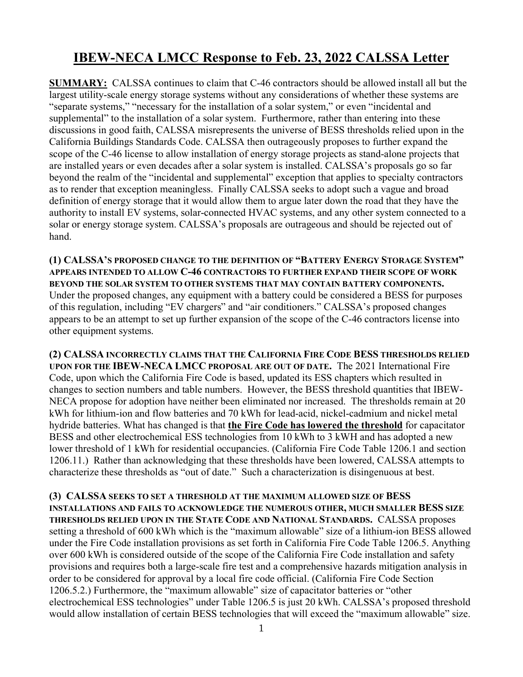## **IBEW-NECA LMCC Response to Feb. 23, 2022 CALSSA Letter**

**SUMMARY:** CALSSA continues to claim that C-46 contractors should be allowed install all but the largest utility-scale energy storage systems without any considerations of whether these systems are "separate systems," "necessary for the installation of a solar system," or even "incidental and supplemental" to the installation of a solar system. Furthermore, rather than entering into these discussions in good faith, CALSSA misrepresents the universe of BESS thresholds relied upon in the California Buildings Standards Code. CALSSA then outrageously proposes to further expand the scope of the C-46 license to allow installation of energy storage projects as stand-alone projects that are installed years or even decades after a solar system is installed. CALSSA's proposals go so far beyond the realm of the "incidental and supplemental" exception that applies to specialty contractors as to render that exception meaningless. Finally CALSSA seeks to adopt such a vague and broad definition of energy storage that it would allow them to argue later down the road that they have the authority to install EV systems, solar-connected HVAC systems, and any other system connected to a solar or energy storage system. CALSSA's proposals are outrageous and should be rejected out of hand.

**(1) CALSSA'S PROPOSED CHANGE TO THE DEFINITION OF "BATTERY ENERGY STORAGE SYSTEM" APPEARS INTENDED TO ALLOW C-46 CONTRACTORS TO FURTHER EXPAND THEIR SCOPE OF WORK BEYOND THE SOLAR SYSTEM TO OTHER SYSTEMS THAT MAY CONTAIN BATTERY COMPONENTS.** Under the proposed changes, any equipment with a battery could be considered a BESS for purposes of this regulation, including "EV chargers" and "air conditioners." CALSSA's proposed changes appears to be an attempt to set up further expansion of the scope of the C-46 contractors license into other equipment systems.

**(2) CALSSA INCORRECTLY CLAIMS THAT THE CALIFORNIA FIRE CODE BESS THRESHOLDS RELIED UPON FOR THE IBEW-NECA LMCC PROPOSAL ARE OUT OF DATE.** The 2021 International Fire Code, upon which the California Fire Code is based, updated its ESS chapters which resulted in changes to section numbers and table numbers. However, the BESS threshold quantities that IBEW-NECA propose for adoption have neither been eliminated nor increased. The thresholds remain at 20 kWh for lithium-ion and flow batteries and 70 kWh for lead-acid, nickel-cadmium and nickel metal hydride batteries. What has changed is that **the Fire Code has lowered the threshold** for capacitator BESS and other electrochemical ESS technologies from 10 kWh to 3 kWH and has adopted a new lower threshold of 1 kWh for residential occupancies. (California Fire Code Table 1206.1 and section 1206.11.) Rather than acknowledging that these thresholds have been lowered, CALSSA attempts to characterize these thresholds as "out of date." Such a characterization is disingenuous at best.

**(3) CALSSA SEEKS TO SET A THRESHOLD AT THE MAXIMUM ALLOWED SIZE OF BESS INSTALLATIONS AND FAILS TO ACKNOWLEDGE THE NUMEROUS OTHER, MUCH SMALLER BESS SIZE THRESHOLDS RELIED UPON IN THE STATE CODE AND NATIONAL STANDARDS.** CALSSA proposes setting a threshold of 600 kWh which is the "maximum allowable" size of a lithium-ion BESS allowed under the Fire Code installation provisions as set forth in California Fire Code Table 1206.5. Anything over 600 kWh is considered outside of the scope of the California Fire Code installation and safety provisions and requires both a large-scale fire test and a comprehensive hazards mitigation analysis in order to be considered for approval by a local fire code official. (California Fire Code Section 1206.5.2.) Furthermore, the "maximum allowable" size of capacitator batteries or "other electrochemical ESS technologies" under Table 1206.5 is just 20 kWh. CALSSA's proposed threshold would allow installation of certain BESS technologies that will exceed the "maximum allowable" size.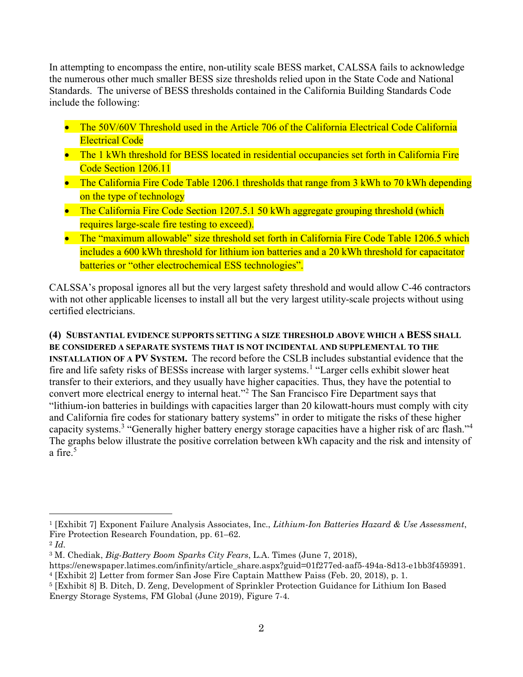In attempting to encompass the entire, non-utility scale BESS market, CALSSA fails to acknowledge the numerous other much smaller BESS size thresholds relied upon in the State Code and National Standards. The universe of BESS thresholds contained in the California Building Standards Code include the following:

- The 50V/60V Threshold used in the Article 706 of the California Electrical Code California Electrical Code
- The 1 kWh threshold for BESS located in residential occupancies set forth in California Fire Code Section 1206.11
- The California Fire Code Table 1206.1 thresholds that range from 3 kWh to 70 kWh depending on the type of technology
- The California Fire Code Section 1207.5.1 50 kWh aggregate grouping threshold (which requires large-scale fire testing to exceed).
- The "maximum allowable" size threshold set forth in California Fire Code Table 1206.5 which includes a 600 kWh threshold for lithium ion batteries and a 20 kWh threshold for capacitator batteries or "other electrochemical ESS technologies".

CALSSA's proposal ignores all but the very largest safety threshold and would allow C-46 contractors with not other applicable licenses to install all but the very largest utility-scale projects without using certified electricians.

**(4) SUBSTANTIAL EVIDENCE SUPPORTS SETTING A SIZE THRESHOLD ABOVE WHICH A BESS SHALL BE CONSIDERED A SEPARATE SYSTEMS THAT IS NOT INCIDENTAL AND SUPPLEMENTAL TO THE INSTALLATION OF A PV SYSTEM.** The record before the CSLB includes substantial evidence that the fire and life safety risks of BESSs increase with larger systems.[1](#page-1-0) "Larger cells exhibit slower heat transfer to their exteriors, and they usually have higher capacities. Thus, they have the potential to convert more electrical energy to internal heat."[2](#page-1-1) The San Francisco Fire Department says that "lithium-ion batteries in buildings with capacities larger than 20 kilowatt-hours must comply with city and California fire codes for stationary battery systems" in order to mitigate the risks of these higher capacity systems.[3](#page-1-2) "Generally higher battery energy storage capacities have a higher risk of arc flash."[4](#page-1-3) The graphs below illustrate the positive correlation between kWh capacity and the risk and intensity of a fire.<sup>[5](#page-1-4)</sup>

<span id="page-1-0"></span><sup>1</sup> [Exhibit 7] Exponent Failure Analysis Associates, Inc., *Lithium-Ion Batteries Hazard & Use Assessment*, Fire Protection Research Foundation, pp. 61–62.

<span id="page-1-1"></span><sup>2</sup> *Id.*

<span id="page-1-2"></span><sup>3</sup> M. Chediak, *Big-Battery Boom Sparks City Fears*, L.A. Times (June 7, 2018), <sup>4</sup> [Exhibit 2] Letter from former San Jose Fire Captain Matthew Paiss (Feb. 20, 2018), p. 1.

<span id="page-1-4"></span><span id="page-1-3"></span><sup>5</sup> [Exhibit 8] B. Ditch, D. Zeng, Development of Sprinkler Protection Guidance for Lithium Ion Based

Energy Storage Systems, FM Global (June 2019), Figure 7-4.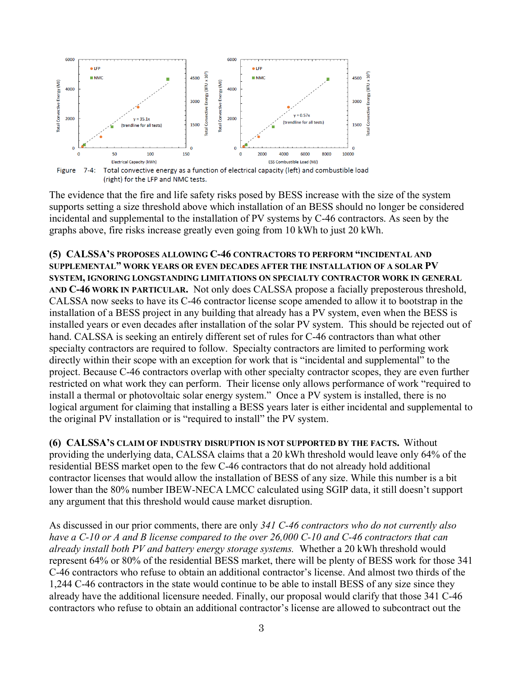

(right) for the LFP and NMC tests.

The evidence that the fire and life safety risks posed by BESS increase with the size of the system supports setting a size threshold above which installation of an BESS should no longer be considered incidental and supplemental to the installation of PV systems by C-46 contractors. As seen by the graphs above, fire risks increase greatly even going from 10 kWh to just 20 kWh.

**(5) CALSSA'S PROPOSES ALLOWING C-46 CONTRACTORS TO PERFORM "INCIDENTAL AND SUPPLEMENTAL" WORK YEARS OR EVEN DECADES AFTER THE INSTALLATION OF A SOLAR PV SYSTEM, IGNORING LONGSTANDING LIMITATIONS ON SPECIALTY CONTRACTOR WORK IN GENERAL AND C-46 WORK IN PARTICULAR.** Not only does CALSSA propose a facially preposterous threshold, CALSSA now seeks to have its C-46 contractor license scope amended to allow it to bootstrap in the installation of a BESS project in any building that already has a PV system, even when the BESS is installed years or even decades after installation of the solar PV system. This should be rejected out of hand. CALSSA is seeking an entirely different set of rules for C-46 contractors than what other specialty contractors are required to follow. Specialty contractors are limited to performing work directly within their scope with an exception for work that is "incidental and supplemental" to the project. Because C-46 contractors overlap with other specialty contractor scopes, they are even further restricted on what work they can perform. Their license only allows performance of work "required to install a thermal or photovoltaic solar energy system." Once a PV system is installed, there is no logical argument for claiming that installing a BESS years later is either incidental and supplemental to the original PV installation or is "required to install" the PV system.

**(6) CALSSA'S CLAIM OF INDUSTRY DISRUPTION IS NOT SUPPORTED BY THE FACTS.** Without providing the underlying data, CALSSA claims that a 20 kWh threshold would leave only 64% of the residential BESS market open to the few C-46 contractors that do not already hold additional contractor licenses that would allow the installation of BESS of any size. While this number is a bit lower than the 80% number IBEW-NECA LMCC calculated using SGIP data, it still doesn't support any argument that this threshold would cause market disruption.

As discussed in our prior comments, there are only *341 C-46 contractors who do not currently also have a C-10 or A and B license compared to the over 26,000 C-10 and C-46 contractors that can already install both PV and battery energy storage systems.* Whether a 20 kWh threshold would represent 64% or 80% of the residential BESS market, there will be plenty of BESS work for those 341 C-46 contractors who refuse to obtain an additional contractor's license. And almost two thirds of the 1,244 C-46 contractors in the state would continue to be able to install BESS of any size since they already have the additional licensure needed. Finally, our proposal would clarify that those 341 C-46 contractors who refuse to obtain an additional contractor's license are allowed to subcontract out the